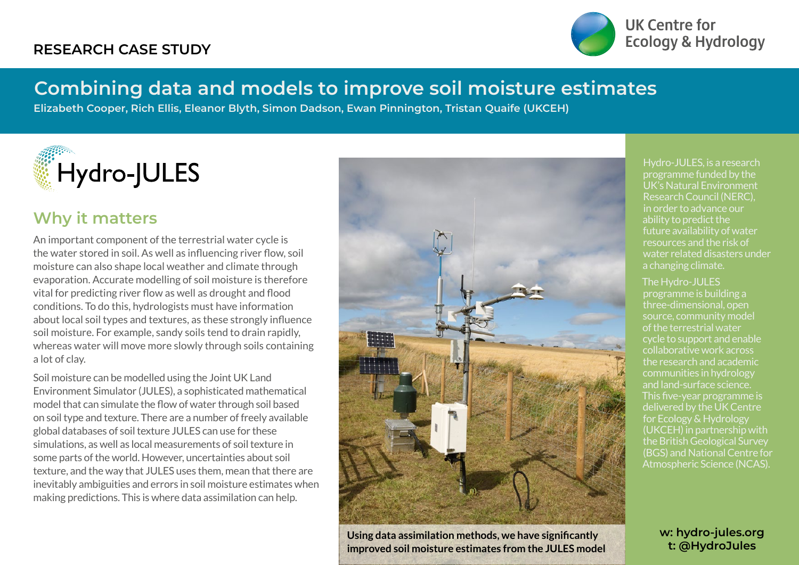### **RESEARCH CASE STUDY**



UK Centre for **Ecology & Hydrology** 

# **Combining data and models to improve soil moisture estimates**

**Elizabeth Cooper, Rich Ellis, Eleanor Blyth, Simon Dadson, Ewan Pinnington, Tristan Quaife (UKCEH)**



### **Why it matters**

An important component of the terrestrial water cycle is the water stored in soil. As well as influencing river flow, soil moisture can also shape local weather and climate through evaporation. Accurate modelling of soil moisture is therefore vital for predicting river flow as well as drought and flood conditions. To do this, hydrologists must have information about local soil types and textures, as these strongly influence soil moisture. For example, sandy soils tend to drain rapidly, whereas water will move more slowly through soils containing a lot of clay.

Soil moisture can be modelled using the Joint UK Land Environment Simulator (JULES), a sophisticated mathematical model that can simulate the flow of water through soil based on soil type and texture. There are a number of freely available global databases of soil texture JULES can use for these simulations, as well as local measurements of soil texture in some parts of the world. However, uncertainties about soil texture, and the way that JULES uses them, mean that there are inevitably ambiguities and errors in soil moisture estimates when making predictions. This is where data assimilation can help.



**Using data assimilation methods, we have significantly improved soil moisture estimates from the JULES model**

Hydro-JULES, is a research programme funded by the UK's Natural Environment Research Council (NERC), in order to advance our ability to predict the future availability of water resources and the risk of water related disasters under a changing climate.

#### The Hydro-JULES

programme is building a three-dimensional, open source, community model of the terrestrial water cycle to support and enable collaborative work across the research and academic communities in hydrology and land-surface science. This five-year programme is delivered by the UK Centre for Ecology & Hydrology (UKCEH) in partnership with the British Geological Survey (BGS) and National Centre for Atmospheric Science (NCAS).

#### **w: hydro-jules.org t: @HydroJules**